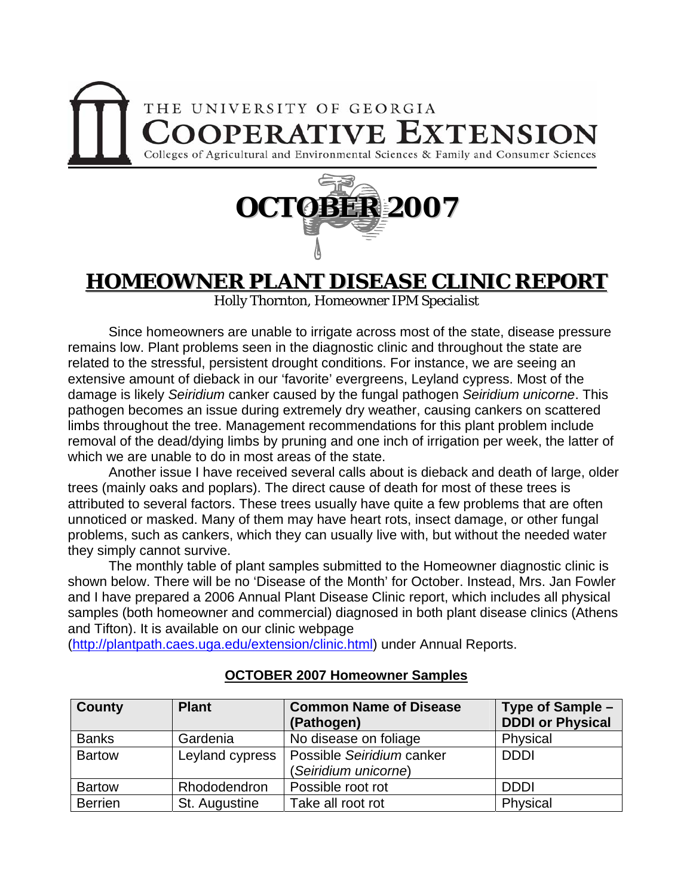## THE UNIVERSITY OF GEORGIA **OOPERATIVE EXTENSION** Colleges of Agricultural and Environmental Sciences & Family and Consumer Sciences



## **HOMEOWNER PLANT DISEASE CLINIC REPORT**

Holly Thornton, Homeowner IPM Specialist

 Since homeowners are unable to irrigate across most of the state, disease pressure remains low. Plant problems seen in the diagnostic clinic and throughout the state are related to the stressful, persistent drought conditions. For instance, we are seeing an extensive amount of dieback in our 'favorite' evergreens, Leyland cypress. Most of the damage is likely *Seiridium* canker caused by the fungal pathogen *Seiridium unicorne*. This pathogen becomes an issue during extremely dry weather, causing cankers on scattered limbs throughout the tree. Management recommendations for this plant problem include removal of the dead/dying limbs by pruning and one inch of irrigation per week, the latter of which we are unable to do in most areas of the state.

Another issue I have received several calls about is dieback and death of large, older trees (mainly oaks and poplars). The direct cause of death for most of these trees is attributed to several factors. These trees usually have quite a few problems that are often unnoticed or masked. Many of them may have heart rots, insect damage, or other fungal problems, such as cankers, which they can usually live with, but without the needed water they simply cannot survive.

The monthly table of plant samples submitted to the Homeowner diagnostic clinic is shown below. There will be no 'Disease of the Month' for October. Instead, Mrs. Jan Fowler and I have prepared a 2006 Annual Plant Disease Clinic report, which includes all physical samples (both homeowner and commercial) diagnosed in both plant disease clinics (Athens and Tifton). It is available on our clinic webpage

([http://plantpath.caes.uga.edu/extension/clinic.html\)](http://plantpath.caes.uga.edu/extension/clinic.html) under Annual Reports.

| <b>County</b>  | <b>Plant</b>    | <b>Common Name of Disease</b><br>(Pathogen)       | Type of Sample -<br><b>DDDI or Physical</b> |
|----------------|-----------------|---------------------------------------------------|---------------------------------------------|
| <b>Banks</b>   | Gardenia        | No disease on foliage                             | Physical                                    |
| <b>Bartow</b>  | Leyland cypress | Possible Seiridium canker<br>(Seiridium unicorne) | <b>DDDI</b>                                 |
| <b>Bartow</b>  | Rhododendron    | Possible root rot                                 | <b>DDDI</b>                                 |
| <b>Berrien</b> | St. Augustine   | Take all root rot                                 | Physical                                    |

## **OCTOBER 2007 Homeowner Samples**